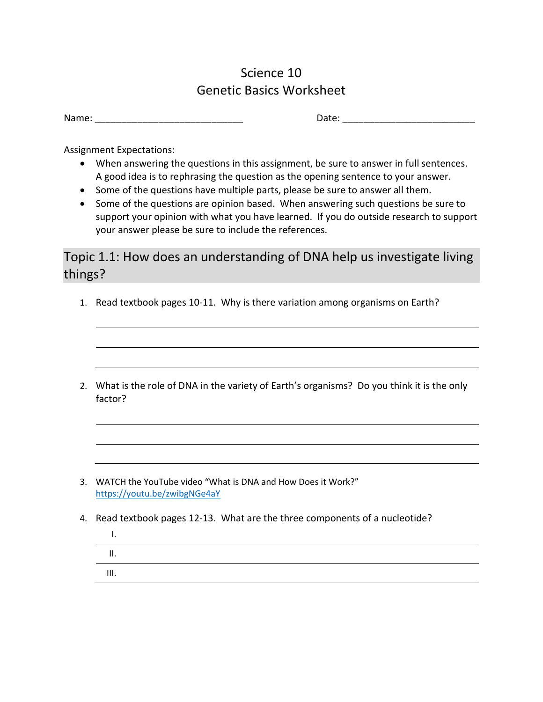## Science 10 Genetic Basics Worksheet

| Name: |
|-------|
|-------|

Name: \_\_\_\_\_\_\_\_\_\_\_\_\_\_\_\_\_\_\_\_\_\_\_\_\_\_\_\_ Date: \_\_\_\_\_\_\_\_\_\_\_\_\_\_\_\_\_\_\_\_\_\_\_\_\_

Assignment Expectations:

- When answering the questions in this assignment, be sure to answer in full sentences. A good idea is to rephrasing the question as the opening sentence to your answer.
- Some of the questions have multiple parts, please be sure to answer all them.
- Some of the questions are opinion based. When answering such questions be sure to support your opinion with what you have learned. If you do outside research to support your answer please be sure to include the references.

Topic 1.1: How does an understanding of DNA help us investigate living things?

- 1. Read textbook pages 10-11. Why is there variation among organisms on Earth?
- 2. What is the role of DNA in the variety of Earth's organisms? Do you think it is the only factor?

- 3. WATCH the YouTube video "What is DNA and How Does it Work?" <https://youtu.be/zwibgNGe4aY>
- 4. Read textbook pages 12-13. What are the three components of a nucleotide?

I. II. III.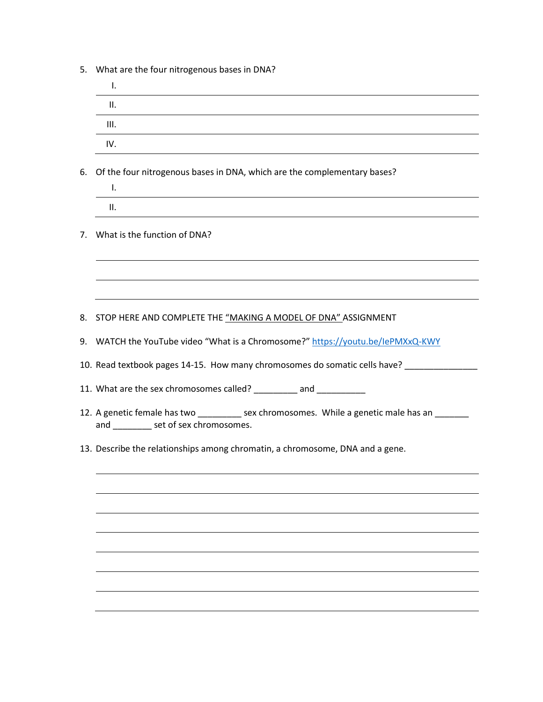5. What are the four nitrogenous bases in DNA?

|    | Ι.                                                                                                                                |
|----|-----------------------------------------------------------------------------------------------------------------------------------|
|    | П.                                                                                                                                |
|    | III.                                                                                                                              |
|    | IV.                                                                                                                               |
| 6. | Of the four nitrogenous bases in DNA, which are the complementary bases?                                                          |
|    | Τ.                                                                                                                                |
|    | ΙΙ.                                                                                                                               |
| 7. | What is the function of DNA?                                                                                                      |
|    |                                                                                                                                   |
|    | 8. STOP HERE AND COMPLETE THE <u>"MAKING A MODEL OF DNA" ASSIGNMENT</u>                                                           |
|    | 9. WATCH the YouTube video "What is a Chromosome?" https://youtu.be/lePMXxQ-KWY                                                   |
|    | 10. Read textbook pages 14-15. How many chromosomes do somatic cells have? _______                                                |
|    | 11. What are the sex chromosomes called? _________ and ___________                                                                |
|    | 12. A genetic female has two _________ sex chromosomes. While a genetic male has an ___<br>and __________ set of sex chromosomes. |
|    | 13. Describe the relationships among chromatin, a chromosome, DNA and a gene.                                                     |
|    |                                                                                                                                   |
|    |                                                                                                                                   |
|    |                                                                                                                                   |
|    |                                                                                                                                   |
|    |                                                                                                                                   |
|    |                                                                                                                                   |
|    |                                                                                                                                   |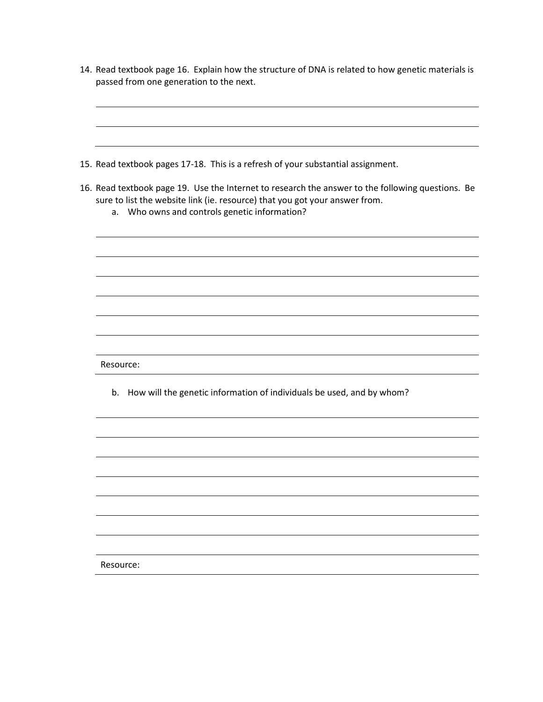- 14. Read textbook page 16. Explain how the structure of DNA is related to how genetic materials is passed from one generation to the next.
- 15. Read textbook pages 17-18. This is a refresh of your substantial assignment. 16. Read textbook page 19. Use the Internet to research the answer to the following questions. Be sure to list the website link (ie. resource) that you got your answer from. a. Who owns and controls genetic information? Resource: b. How will the genetic information of individuals be used, and by whom? Resource: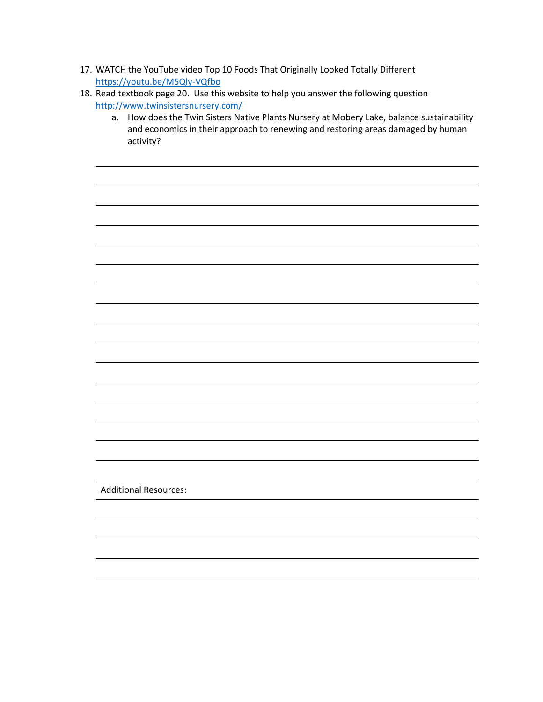- 17. WATCH the YouTube video Top 10 Foods That Originally Looked Totally Different <https://youtu.be/M5Qly-VQfbo>
- 18. Read textbook page 20. Use this website to help you answer the following question <http://www.twinsistersnursery.com/>
	- a. How does the Twin Sisters Native Plants Nursery at Mobery Lake, balance sustainability and economics in their approach to renewing and restoring areas damaged by human activity?

Additional Resources: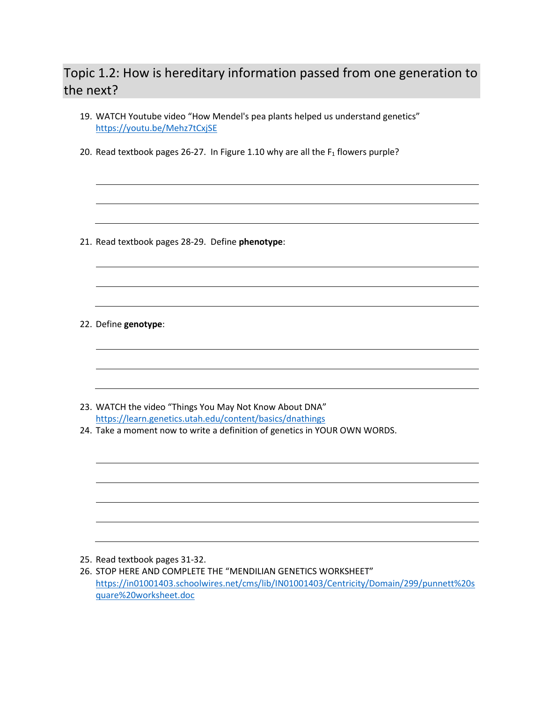## Topic 1.2: How is hereditary information passed from one generation to the next?

- 19. WATCH Youtube video "How Mendel's pea plants helped us understand genetics" <https://youtu.be/Mehz7tCxjSE>
- 20. Read textbook pages 26-27. In Figure 1.10 why are all the  $F_1$  flowers purple?

21. Read textbook pages 28-29. Define **phenotype**:

22. Define **genotype**:

- 23. WATCH the video "Things You May Not Know About DNA" <https://learn.genetics.utah.edu/content/basics/dnathings>
- 24. Take a moment now to write a definition of genetics in YOUR OWN WORDS.

- 25. Read textbook pages 31-32.
- 26. STOP HERE AND COMPLETE THE "MENDILIAN GENETICS WORKSHEET" [https://in01001403.schoolwires.net/cms/lib/IN01001403/Centricity/Domain/299/punnett%20s](https://in01001403.schoolwires.net/cms/lib/IN01001403/Centricity/Domain/299/punnett%20square%20worksheet.doc) [quare%20worksheet.doc](https://in01001403.schoolwires.net/cms/lib/IN01001403/Centricity/Domain/299/punnett%20square%20worksheet.doc)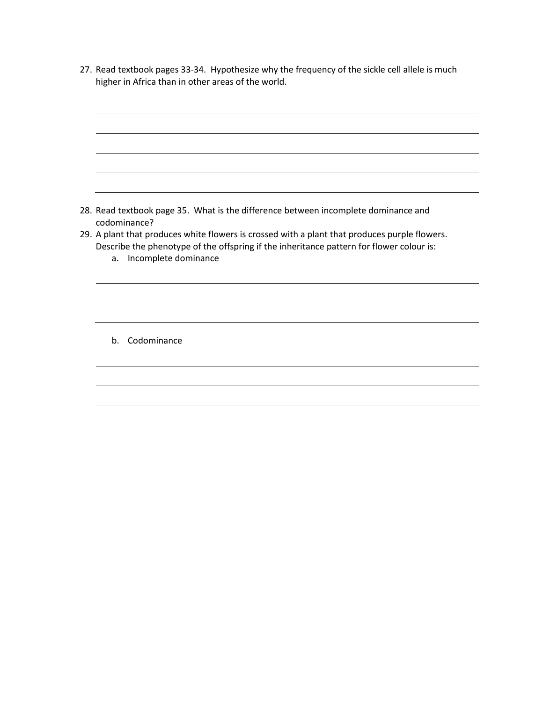27. Read textbook pages 33-34. Hypothesize why the frequency of the sickle cell allele is much higher in Africa than in other areas of the world.

28. Read textbook page 35. What is the difference between incomplete dominance and codominance? 29. A plant that produces white flowers is crossed with a plant that produces purple flowers. Describe the phenotype of the offspring if the inheritance pattern for flower colour is: a. Incomplete dominance b. Codominance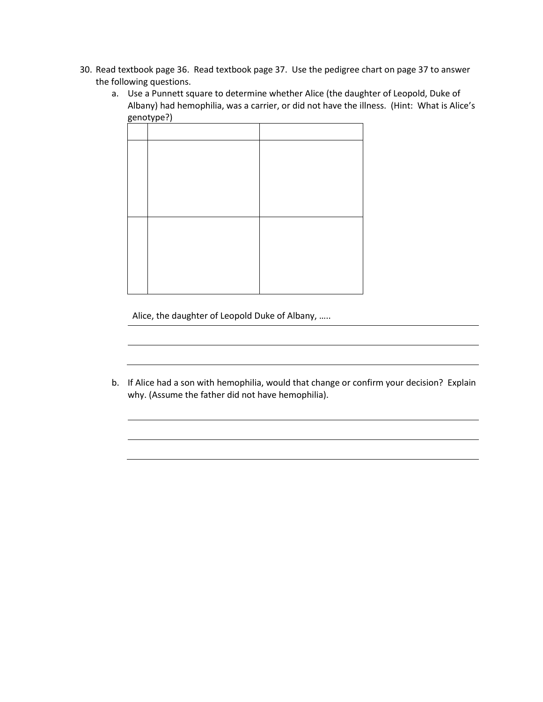- 30. Read textbook page 36. Read textbook page 37. Use the pedigree chart on page 37 to answer the following questions.
	- a. Use a Punnett square to determine whether Alice (the daughter of Leopold, Duke of Albany) had hemophilia, was a carrier, or did not have the illness. (Hint: What is Alice's genotype?)

Alice, the daughter of Leopold Duke of Albany, …..

b. If Alice had a son with hemophilia, would that change or confirm your decision? Explain why. (Assume the father did not have hemophilia).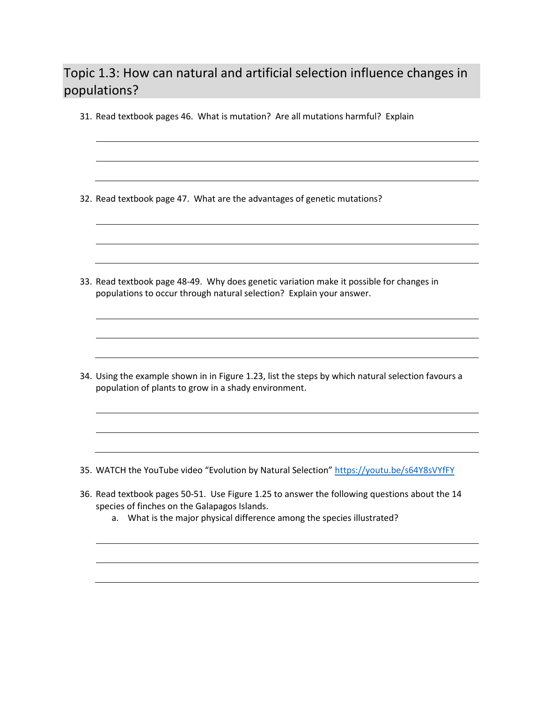## Topic 1.3: How can natural and artificial selection influence changes in populations?

31. Read textbook pages 46. What is mutation? Are all mutations harmful? Explain

32. Read textbook page 47. What are the advantages of genetic mutations?

33. Read textbook page 48-49. Why does genetic variation make it possible for changes in populations to occur through natural selection? Explain your answer.

34. Using the example shown in in Figure 1.23, list the steps by which natural selection favours a population of plants to grow in a shady environment.

- 35. WATCH the YouTube video "Evolution by Natural Selection" <https://youtu.be/s64Y8sVYfFY>
- 36. Read textbook pages 50-51. Use Figure 1.25 to answer the following questions about the 14 species of finches on the Galapagos Islands.
	- a. What is the major physical difference among the species illustrated?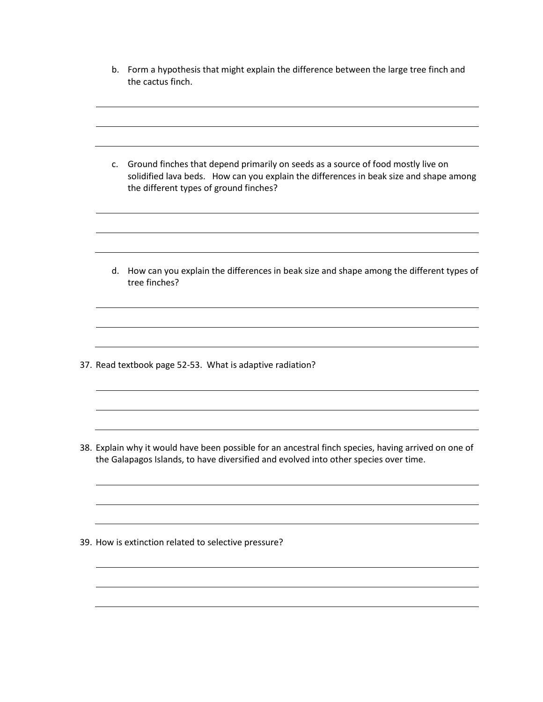b. Form a hypothesis that might explain the difference between the large tree finch and the cactus finch.

c. Ground finches that depend primarily on seeds as a source of food mostly live on solidified lava beds. How can you explain the differences in beak size and shape among the different types of ground finches? d. How can you explain the differences in beak size and shape among the different types of tree finches? 37. Read textbook page 52-53. What is adaptive radiation? 38. Explain why it would have been possible for an ancestral finch species, having arrived on one of the Galapagos Islands, to have diversified and evolved into other species over time.

39. How is extinction related to selective pressure?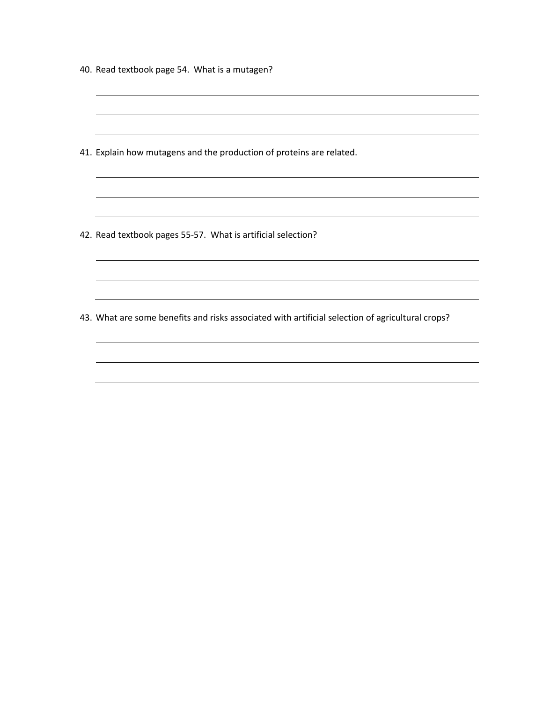|  |  | 40. Read textbook page 54. What is a mutagen? |  |  |  |
|--|--|-----------------------------------------------|--|--|--|
|--|--|-----------------------------------------------|--|--|--|

41. Explain how mutagens and the production of proteins are related.

42. Read textbook pages 55-57. What is artificial selection?

43. What are some benefits and risks associated with artificial selection of agricultural crops?